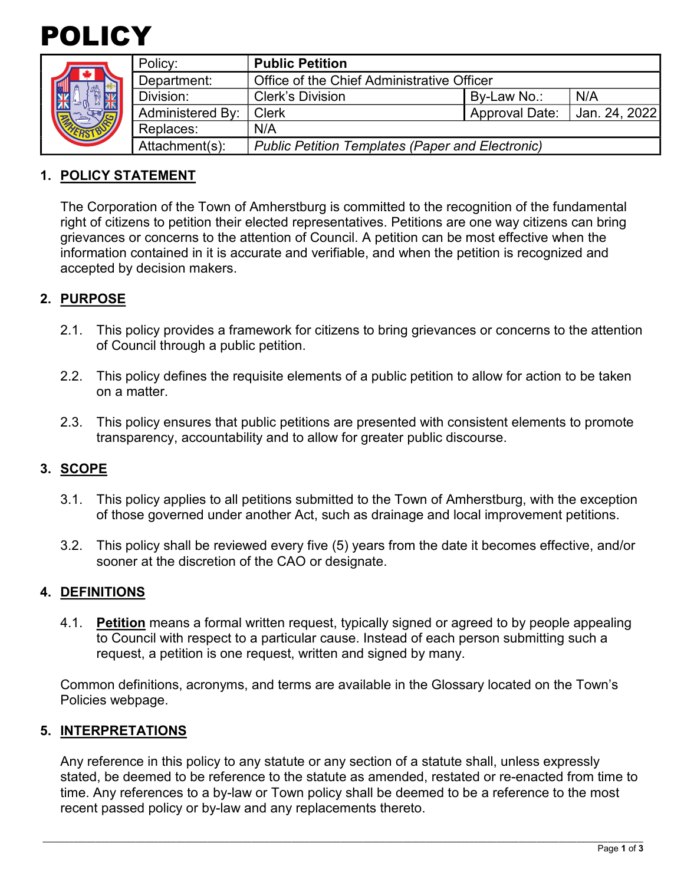



|  | Policy:                                                                   | <b>Public Petition</b>                     |                       |               |
|--|---------------------------------------------------------------------------|--------------------------------------------|-----------------------|---------------|
|  | Department:                                                               | Office of the Chief Administrative Officer |                       |               |
|  | Division:                                                                 | <b>Clerk's Division</b>                    | By-Law No.:           | N/A           |
|  | <b>Administered By:</b>                                                   | <b>Clerk</b>                               | <b>Approval Date:</b> | Jan. 24, 2022 |
|  | Replaces:                                                                 | N/A                                        |                       |               |
|  | Attachment(s):<br><b>Public Petition Templates (Paper and Electronic)</b> |                                            |                       |               |

## **1. POLICY STATEMENT**

The Corporation of the Town of Amherstburg is committed to the recognition of the fundamental right of citizens to petition their elected representatives. Petitions are one way citizens can bring grievances or concerns to the attention of Council. A petition can be most effective when the information contained in it is accurate and verifiable, and when the petition is recognized and accepted by decision makers.

## **2. PURPOSE**

- 2.1. This policy provides a framework for citizens to bring grievances or concerns to the attention of Council through a public petition.
- 2.2. This policy defines the requisite elements of a public petition to allow for action to be taken on a matter.
- 2.3. This policy ensures that public petitions are presented with consistent elements to promote transparency, accountability and to allow for greater public discourse.

### **3. SCOPE**

- 3.1. This policy applies to all petitions submitted to the Town of Amherstburg, with the exception of those governed under another Act, such as drainage and local improvement petitions.
- 3.2. This policy shall be reviewed every five (5) years from the date it becomes effective, and/or sooner at the discretion of the CAO or designate.

#### **4. DEFINITIONS**

4.1. **Petition** means a formal written request, typically signed or agreed to by people appealing to Council with respect to a particular cause. Instead of each person submitting such a request, a petition is one request, written and signed by many.

Common definitions, acronyms, and terms are available in the Glossary located on the Town's Policies webpage.

#### **5. INTERPRETATIONS**

Any reference in this policy to any statute or any section of a statute shall, unless expressly stated, be deemed to be reference to the statute as amended, restated or re-enacted from time to time. Any references to a by-law or Town policy shall be deemed to be a reference to the most recent passed policy or by-law and any replacements thereto.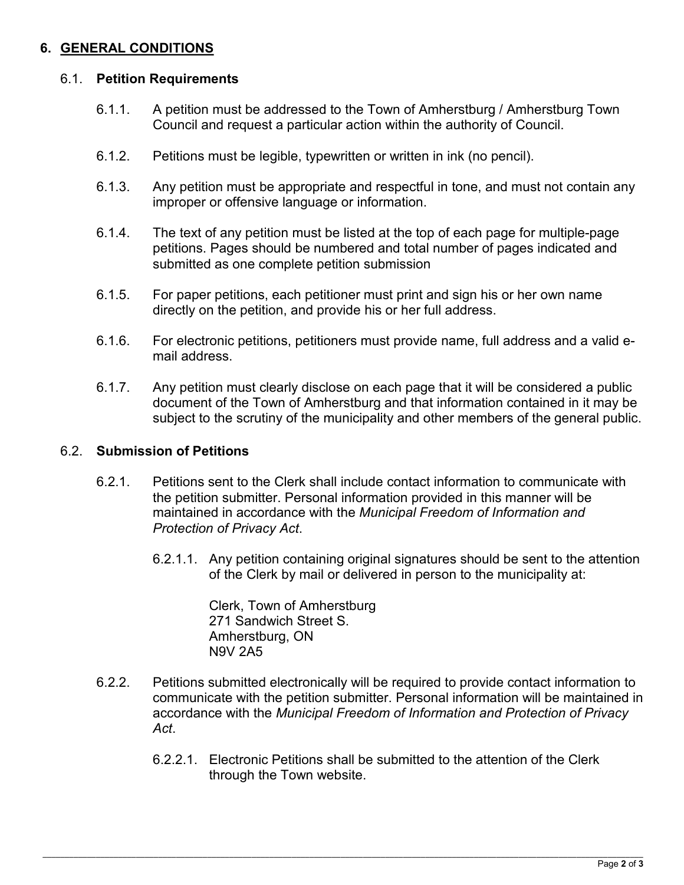## **6. GENERAL CONDITIONS**

### 6.1. **Petition Requirements**

- 6.1.1. A petition must be addressed to the Town of Amherstburg / Amherstburg Town Council and request a particular action within the authority of Council.
- 6.1.2. Petitions must be legible, typewritten or written in ink (no pencil).
- 6.1.3. Any petition must be appropriate and respectful in tone, and must not contain any improper or offensive language or information.
- 6.1.4. The text of any petition must be listed at the top of each page for multiple-page petitions. Pages should be numbered and total number of pages indicated and submitted as one complete petition submission
- 6.1.5. For paper petitions, each petitioner must print and sign his or her own name directly on the petition, and provide his or her full address.
- 6.1.6. For electronic petitions, petitioners must provide name, full address and a valid email address.
- 6.1.7. Any petition must clearly disclose on each page that it will be considered a public document of the Town of Amherstburg and that information contained in it may be subject to the scrutiny of the municipality and other members of the general public.

### 6.2. **Submission of Petitions**

- 6.2.1. Petitions sent to the Clerk shall include contact information to communicate with the petition submitter. Personal information provided in this manner will be maintained in accordance with the *Municipal Freedom of Information and Protection of Privacy Act*.
	- 6.2.1.1. Any petition containing original signatures should be sent to the attention of the Clerk by mail or delivered in person to the municipality at:

Clerk, Town of Amherstburg 271 Sandwich Street S. Amherstburg, ON N9V 2A5

- 6.2.2. Petitions submitted electronically will be required to provide contact information to communicate with the petition submitter. Personal information will be maintained in accordance with the *Municipal Freedom of Information and Protection of Privacy Act*.
	- 6.2.2.1. Electronic Petitions shall be submitted to the attention of the Clerk through the Town website.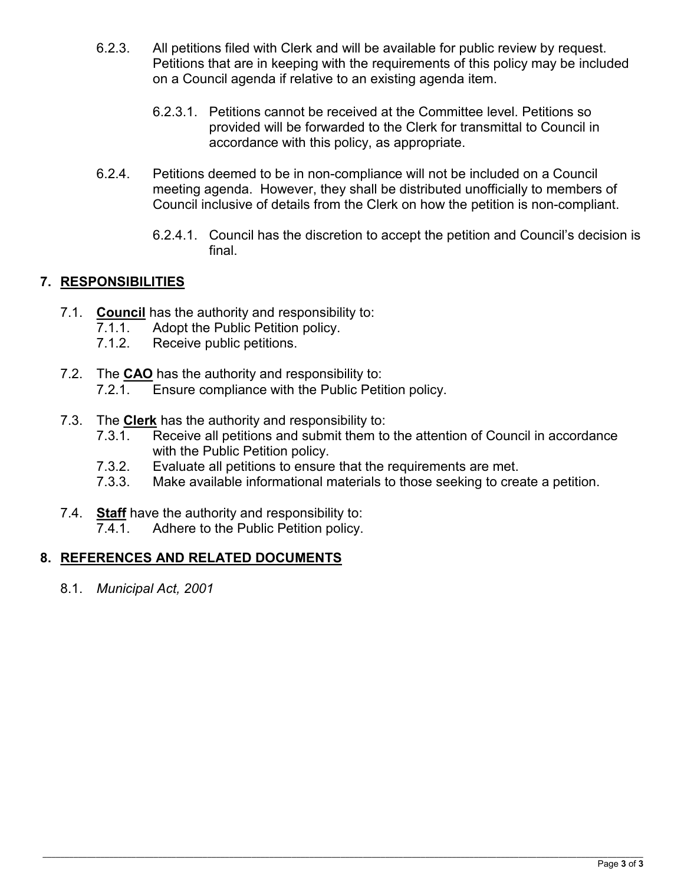- 6.2.3. All petitions filed with Clerk and will be available for public review by request. Petitions that are in keeping with the requirements of this policy may be included on a Council agenda if relative to an existing agenda item.
	- 6.2.3.1. Petitions cannot be received at the Committee level. Petitions so provided will be forwarded to the Clerk for transmittal to Council in accordance with this policy, as appropriate.
- 6.2.4. Petitions deemed to be in non-compliance will not be included on a Council meeting agenda. However, they shall be distributed unofficially to members of Council inclusive of details from the Clerk on how the petition is non-compliant.
	- 6.2.4.1. Council has the discretion to accept the petition and Council's decision is final.

## **7. RESPONSIBILITIES**

- 7.1. **Council** has the authority and responsibility to:
	- 7.1.1. Adopt the Public Petition policy.<br>7.1.2. Receive public petitions.
	- Receive public petitions.
- 7.2. The **CAO** has the authority and responsibility to:
	- 7.2.1. Ensure compliance with the Public Petition policy.
- 7.3. The **Clerk** has the authority and responsibility to:
	- 7.3.1. Receive all petitions and submit them to the attention of Council in accordance with the Public Petition policy.
	- 7.3.2. Evaluate all petitions to ensure that the requirements are met.
	- 7.3.3. Make available informational materials to those seeking to create a petition.
- 7.4. **Staff** have the authority and responsibility to:
	- 7.4.1. Adhere to the Public Petition policy.

# **8. REFERENCES AND RELATED DOCUMENTS**

8.1. *Municipal Act, 2001*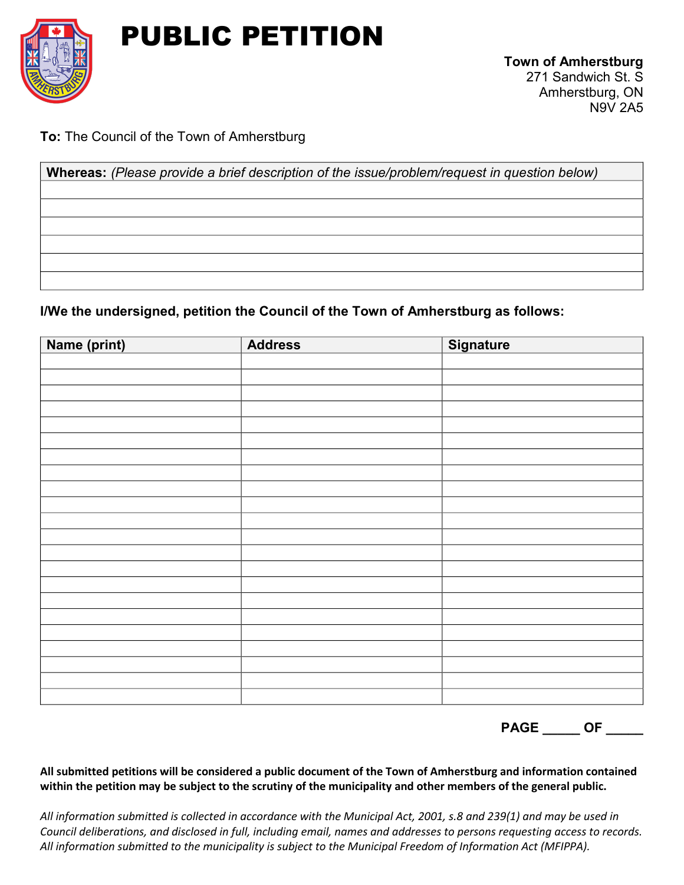

# PUBLIC PETITION

N9V 2A5

**To:** The Council of the Town of Amherstburg

**Whereas:** *(Please provide a brief description of the issue/problem/request in question below)*

**I/We the undersigned, petition the Council of the Town of Amherstburg as follows:**

| Name (print) | <b>Address</b> | Signature |
|--------------|----------------|-----------|
|              |                |           |
|              |                |           |
|              |                |           |
|              |                |           |
|              |                |           |
|              |                |           |
|              |                |           |
|              |                |           |
|              |                |           |
|              |                |           |
|              |                |           |
|              |                |           |
|              |                |           |
|              |                |           |
|              |                |           |
|              |                |           |
|              |                |           |
|              |                |           |
|              |                |           |
|              |                |           |
|              |                |           |
|              |                |           |

**PAGE \_\_\_\_\_ OF \_\_\_\_\_** 

**All submitted petitions will be considered a public document of the Town of Amherstburg and information contained within the petition may be subject to the scrutiny of the municipality and other members of the general public.** 

*All information submitted is collected in accordance with the Municipal Act, 2001, s.8 and 239(1) and may be used in Council deliberations, and disclosed in full, including email, names and addresses to persons requesting access to records. All information submitted to the municipality is subject to the Municipal Freedom of Information Act (MFIPPA).*